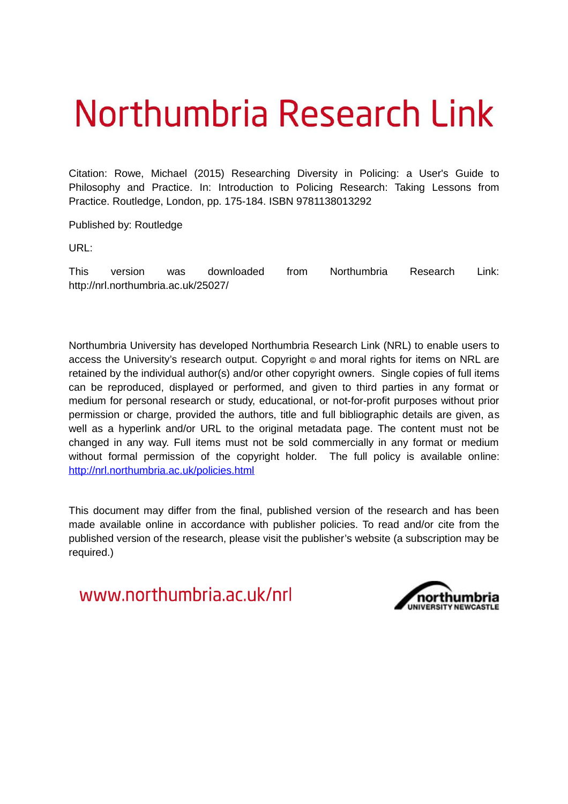## Northumbria Research Link

Citation: Rowe, Michael (2015) Researching Diversity in Policing: a User's Guide to Philosophy and Practice. In: Introduction to Policing Research: Taking Lessons from Practice. Routledge, London, pp. 175-184. ISBN 9781138013292

Published by: Routledge

URL:

This version was downloaded from Northumbria Research Link: http://nrl.northumbria.ac.uk/25027/

Northumbria University has developed Northumbria Research Link (NRL) to enable users to access the University's research output. Copyright  $\circ$  and moral rights for items on NRL are retained by the individual author(s) and/or other copyright owners. Single copies of full items can be reproduced, displayed or performed, and given to third parties in any format or medium for personal research or study, educational, or not-for-profit purposes without prior permission or charge, provided the authors, title and full bibliographic details are given, as well as a hyperlink and/or URL to the original metadata page. The content must not be changed in any way. Full items must not be sold commercially in any format or medium without formal permission of the copyright holder. The full policy is available online: <http://nrl.northumbria.ac.uk/policies.html>

This document may differ from the final, published version of the research and has been made available online in accordance with publisher policies. To read and/or cite from the published version of the research, please visit the publisher's website (a subscription may be required.)

www.northumbria.ac.uk/nrl

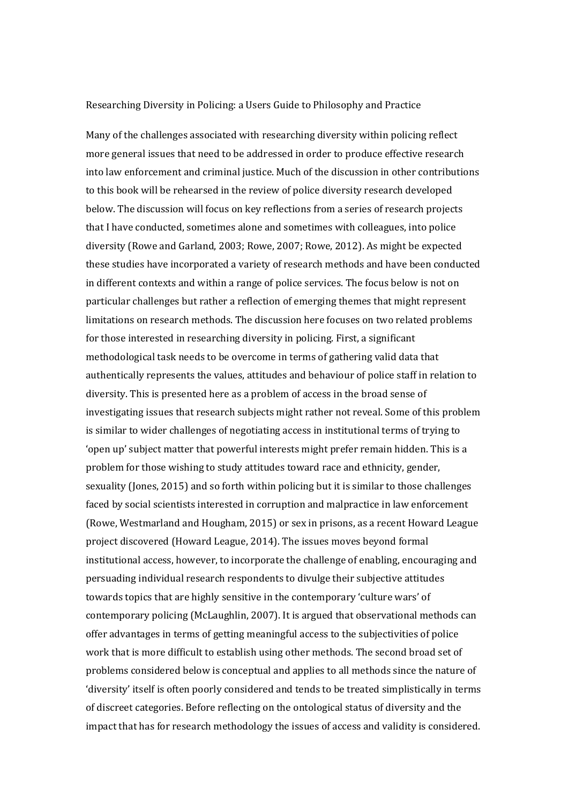## Researching Diversity in Policing: a Users Guide to Philosophy and Practice

Many of the challenges associated with researching diversity within policing reflect more general issues that need to be addressed in order to produce effective research into law enforcement and criminal justice. Much of the discussion in other contributions to this book will be rehearsed in the review of police diversity research developed below. The discussion will focus on key reflections from a series of research projects that I have conducted, sometimes alone and sometimes with colleagues, into police diversity (Rowe and Garland, 2003; Rowe, 2007; Rowe, 2012). As might be expected these studies have incorporated a variety of research methods and have been conducted in different contexts and within a range of police services. The focus below is not on particular challenges but rather a reflection of emerging themes that might represent limitations on research methods. The discussion here focuses on two related problems for those interested in researching diversity in policing. First, a significant methodological task needs to be overcome in terms of gathering valid data that authentically represents the values, attitudes and behaviour of police staff in relation to diversity. This is presented here as a problem of access in the broad sense of investigating issues that research subjects might rather not reveal. Some of this problem is similar to wider challenges of negotiating access in institutional terms of trying to 'open up' subject matter that powerful interests might prefer remain hidden. This is a problem for those wishing to study attitudes toward race and ethnicity, gender, sexuality (Jones, 2015) and so forth within policing but it is similar to those challenges faced by social scientists interested in corruption and malpractice in law enforcement (Rowe, Westmarland and Hougham, 2015) or sex in prisons, as a recent Howard League project discovered (Howard League, 2014). The issues moves beyond formal institutional access, however, to incorporate the challenge of enabling, encouraging and persuading individual research respondents to divulge their subjective attitudes towards topics that are highly sensitive in the contemporary 'culture wars' of contemporary policing (McLaughlin, 2007). It is argued that observational methods can offer advantages in terms of getting meaningful access to the subjectivities of police work that is more difficult to establish using other methods. The second broad set of problems considered below is conceptual and applies to all methods since the nature of 'diversity' itself is often poorly considered and tends to be treated simplistically in terms of discreet categories. Before reflecting on the ontological status of diversity and the impact that has for research methodology the issues of access and validity is considered.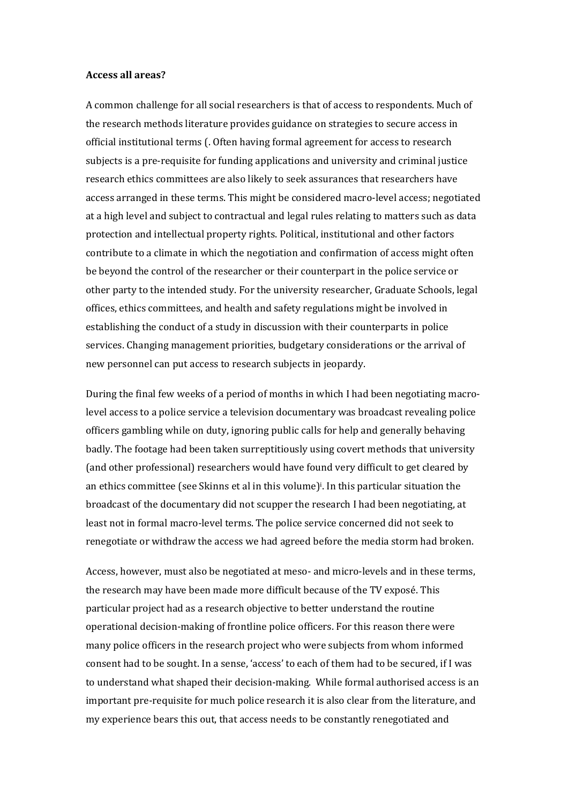## **Access all areas?**

A common challenge for all social researchers is that of access to respondents. Much of the research methods literature provides guidance on strategies to secure access in official institutional terms (. Often having formal agreement for access to research subjects is a pre-requisite for funding applications and university and criminal justice research ethics committees are also likely to seek assurances that researchers have access arranged in these terms. This might be considered macro-level access; negotiated at a high level and subject to contractual and legal rules relating to matters such as data protection and intellectual property rights. Political, institutional and other factors contribute to a climate in which the negotiation and confirmation of access might often be beyond the control of the researcher or their counterpart in the police service or other party to the intended study. For the university researcher, Graduate Schools, legal offices, ethics committees, and health and safety regulations might be involved in establishing the conduct of a study in discussion with their counterparts in police services. Changing management priorities, budgetary considerations or the arrival of new personnel can put access to research subjects in jeopardy.

During the final few weeks of a period of months in which I had been negotiating macrolevel access to a police service a television documentary was broadcast revealing police officers gambling while on duty, ignoring public calls for help and generally behaving badly. The footage had been taken surreptitiously using covert methods that university (and other professional) researchers would have found very difficult to get cleared by an ethics committee (see Skinns et al in this volume)<sup>i</sup> . In this particular situation the broadcast of the documentary did not scupper the research I had been negotiating, at least not in formal macro-level terms. The police service concerned did not seek to renegotiate or withdraw the access we had agreed before the media storm had broken.

Access, however, must also be negotiated at meso- and micro-levels and in these terms, the research may have been made more difficult because of the TV exposé. This particular project had as a research objective to better understand the routine operational decision-making of frontline police officers. For this reason there were many police officers in the research project who were subjects from whom informed consent had to be sought. In a sense, 'access' to each of them had to be secured, if I was to understand what shaped their decision-making. While formal authorised access is an important pre-requisite for much police research it is also clear from the literature, and my experience bears this out, that access needs to be constantly renegotiated and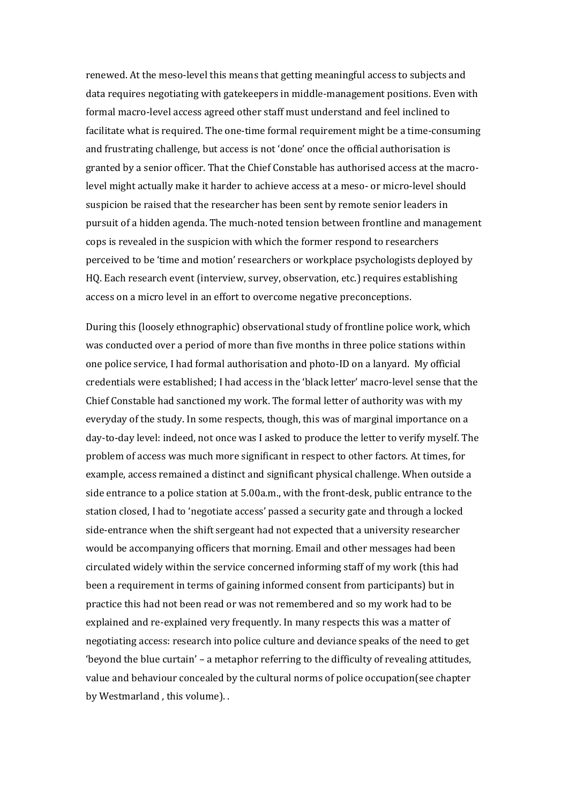renewed. At the meso-level this means that getting meaningful access to subjects and data requires negotiating with gatekeepers in middle-management positions. Even with formal macro-level access agreed other staff must understand and feel inclined to facilitate what is required. The one-time formal requirement might be a time-consuming and frustrating challenge, but access is not 'done' once the official authorisation is granted by a senior officer. That the Chief Constable has authorised access at the macrolevel might actually make it harder to achieve access at a meso- or micro-level should suspicion be raised that the researcher has been sent by remote senior leaders in pursuit of a hidden agenda. The much-noted tension between frontline and management cops is revealed in the suspicion with which the former respond to researchers perceived to be 'time and motion' researchers or workplace psychologists deployed by HQ. Each research event (interview, survey, observation, etc.) requires establishing access on a micro level in an effort to overcome negative preconceptions.

During this (loosely ethnographic) observational study of frontline police work, which was conducted over a period of more than five months in three police stations within one police service, I had formal authorisation and photo-ID on a lanyard. My official credentials were established; I had access in the 'black letter' macro-level sense that the Chief Constable had sanctioned my work. The formal letter of authority was with my everyday of the study. In some respects, though, this was of marginal importance on a day-to-day level: indeed, not once was I asked to produce the letter to verify myself. The problem of access was much more significant in respect to other factors. At times, for example, access remained a distinct and significant physical challenge. When outside a side entrance to a police station at 5.00a.m., with the front-desk, public entrance to the station closed, I had to 'negotiate access' passed a security gate and through a locked side-entrance when the shift sergeant had not expected that a university researcher would be accompanying officers that morning. Email and other messages had been circulated widely within the service concerned informing staff of my work (this had been a requirement in terms of gaining informed consent from participants) but in practice this had not been read or was not remembered and so my work had to be explained and re-explained very frequently. In many respects this was a matter of negotiating access: research into police culture and deviance speaks of the need to get 'beyond the blue curtain' – a metaphor referring to the difficulty of revealing attitudes, value and behaviour concealed by the cultural norms of police occupation(see chapter by Westmarland , this volume). .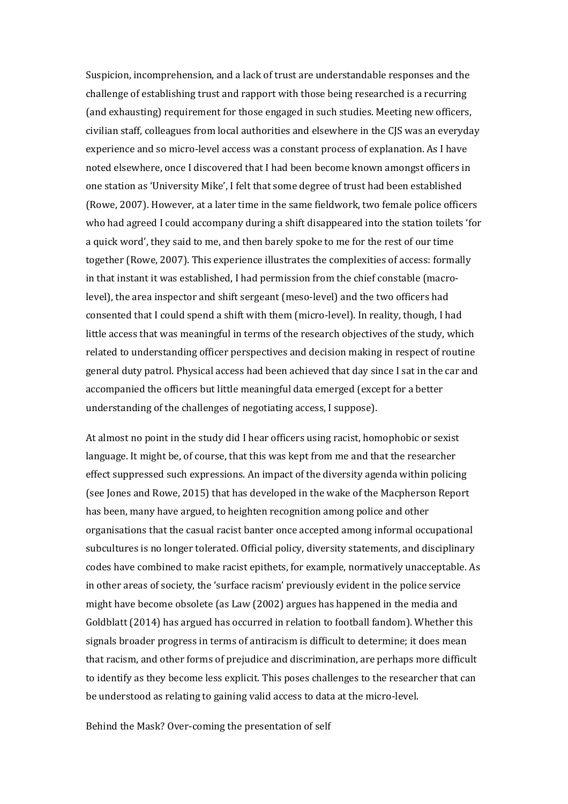Suspicion, incomprehension, and a lack of trust are understandable responses and the challenge of establishing trust and rapport with those being researched is a recurring (and exhausting) requirement for those engaged in such studies. Meeting new officers, civilian staff, colleagues from local authorities and elsewhere in the CJS was an everyday experience and so micro-level access was a constant process of explanation. As I have noted elsewhere, once I discovered that I had been become known amongst officers in one station as 'University Mike', I felt that some degree of trust had been established (Rowe, 2007). However, at a later time in the same fieldwork, two female police officers who had agreed I could accompany during a shift disappeared into the station toilets 'for a quick word', they said to me, and then barely spoke to me for the rest of our time together (Rowe, 2007). This experience illustrates the complexities of access: formally in that instant it was established, I had permission from the chief constable (macrolevel), the area inspector and shift sergeant (meso-level) and the two officers had consented that I could spend a shift with them (micro-level). In reality, though, I had little access that was meaningful in terms of the research objectives of the study, which related to understanding officer perspectives and decision making in respect of routine general duty patrol. Physical access had been achieved that day since I sat in the car and accompanied the officers but little meaningful data emerged (except for a better understanding of the challenges of negotiating access, I suppose).

At almost no point in the study did I hear officers using racist, homophobic or sexist language. It might be, of course, that this was kept from me and that the researcher effect suppressed such expressions. An impact of the diversity agenda within policing (see Jones and Rowe, 2015) that has developed in the wake of the Macpherson Report has been, many have argued, to heighten recognition among police and other organisations that the casual racist banter once accepted among informal occupational subcultures is no longer tolerated. Official policy, diversity statements, and disciplinary codes have combined to make racist epithets, for example, normatively unacceptable. As in other areas of society, the 'surface racism' previously evident in the police service might have become obsolete (as Law (2002) argues has happened in the media and Goldblatt (2014) has argued has occurred in relation to football fandom). Whether this signals broader progress in terms of antiracism is difficult to determine; it does mean that racism, and other forms of prejudice and discrimination, are perhaps more difficult to identify as they become less explicit. This poses challenges to the researcher that can be understood as relating to gaining valid access to data at the micro-level.

Behind the Mask? Over-coming the presentation of self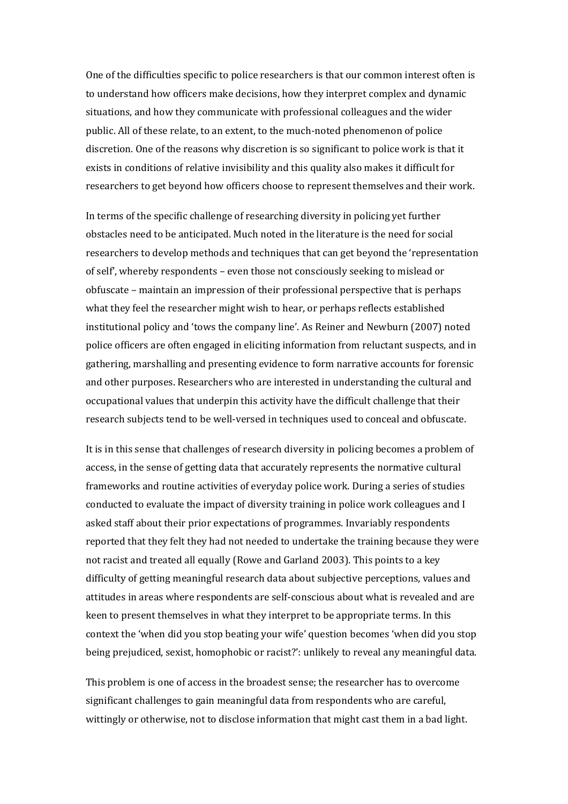One of the difficulties specific to police researchers is that our common interest often is to understand how officers make decisions, how they interpret complex and dynamic situations, and how they communicate with professional colleagues and the wider public. All of these relate, to an extent, to the much-noted phenomenon of police discretion. One of the reasons why discretion is so significant to police work is that it exists in conditions of relative invisibility and this quality also makes it difficult for researchers to get beyond how officers choose to represent themselves and their work.

In terms of the specific challenge of researching diversity in policing yet further obstacles need to be anticipated. Much noted in the literature is the need for social researchers to develop methods and techniques that can get beyond the 'representation of self, whereby respondents - even those not consciously seeking to mislead or obfuscate – maintain an impression of their professional perspective that is perhaps what they feel the researcher might wish to hear, or perhaps reflects established institutional policy and 'tows the company line'. As Reiner and Newburn (2007) noted police officers are often engaged in eliciting information from reluctant suspects, and in gathering, marshalling and presenting evidence to form narrative accounts for forensic and other purposes. Researchers who are interested in understanding the cultural and occupational values that underpin this activity have the difficult challenge that their research subjects tend to be well-versed in techniques used to conceal and obfuscate.

It is in this sense that challenges of research diversity in policing becomes a problem of access, in the sense of getting data that accurately represents the normative cultural frameworks and routine activities of everyday police work. During a series of studies conducted to evaluate the impact of diversity training in police work colleagues and I asked staff about their prior expectations of programmes. Invariably respondents reported that they felt they had not needed to undertake the training because they were not racist and treated all equally (Rowe and Garland 2003). This points to a key difficulty of getting meaningful research data about subjective perceptions, values and attitudes in areas where respondents are self-conscious about what is revealed and are keen to present themselves in what they interpret to be appropriate terms. In this context the 'when did you stop beating your wife' question becomes 'when did you stop being prejudiced, sexist, homophobic or racist?': unlikely to reveal any meaningful data.

This problem is one of access in the broadest sense; the researcher has to overcome significant challenges to gain meaningful data from respondents who are careful, wittingly or otherwise, not to disclose information that might cast them in a bad light.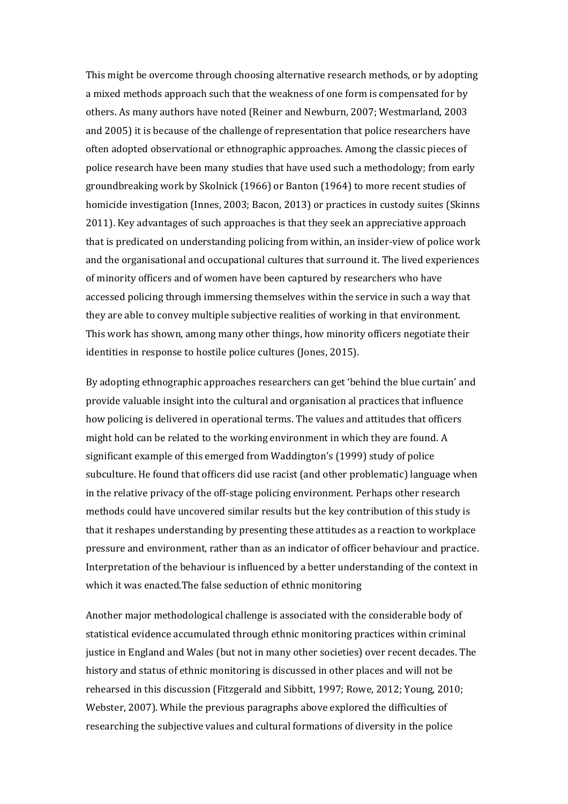This might be overcome through choosing alternative research methods, or by adopting a mixed methods approach such that the weakness of one form is compensated for by others. As many authors have noted (Reiner and Newburn, 2007; Westmarland, 2003 and 2005) it is because of the challenge of representation that police researchers have often adopted observational or ethnographic approaches. Among the classic pieces of police research have been many studies that have used such a methodology; from early groundbreaking work by Skolnick (1966) or Banton (1964) to more recent studies of homicide investigation (Innes, 2003; Bacon, 2013) or practices in custody suites (Skinns 2011). Key advantages of such approaches is that they seek an appreciative approach that is predicated on understanding policing from within, an insider-view of police work and the organisational and occupational cultures that surround it. The lived experiences of minority officers and of women have been captured by researchers who have accessed policing through immersing themselves within the service in such a way that they are able to convey multiple subjective realities of working in that environment. This work has shown, among many other things, how minority officers negotiate their identities in response to hostile police cultures (Jones, 2015).

By adopting ethnographic approaches researchers can get 'behind the blue curtain' and provide valuable insight into the cultural and organisation al practices that influence how policing is delivered in operational terms. The values and attitudes that officers might hold can be related to the working environment in which they are found. A significant example of this emerged from Waddington's (1999) study of police subculture. He found that officers did use racist (and other problematic) language when in the relative privacy of the off-stage policing environment. Perhaps other research methods could have uncovered similar results but the key contribution of this study is that it reshapes understanding by presenting these attitudes as a reaction to workplace pressure and environment, rather than as an indicator of officer behaviour and practice. Interpretation of the behaviour is influenced by a better understanding of the context in which it was enacted.The false seduction of ethnic monitoring

Another major methodological challenge is associated with the considerable body of statistical evidence accumulated through ethnic monitoring practices within criminal justice in England and Wales (but not in many other societies) over recent decades. The history and status of ethnic monitoring is discussed in other places and will not be rehearsed in this discussion (Fitzgerald and Sibbitt, 1997; Rowe, 2012; Young, 2010; Webster, 2007). While the previous paragraphs above explored the difficulties of researching the subjective values and cultural formations of diversity in the police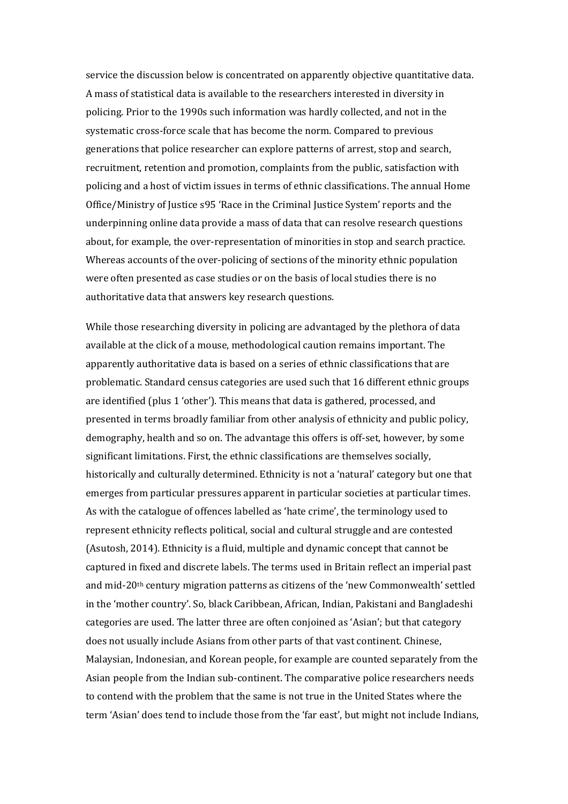service the discussion below is concentrated on apparently objective quantitative data. A mass of statistical data is available to the researchers interested in diversity in policing. Prior to the 1990s such information was hardly collected, and not in the systematic cross-force scale that has become the norm. Compared to previous generations that police researcher can explore patterns of arrest, stop and search, recruitment, retention and promotion, complaints from the public, satisfaction with policing and a host of victim issues in terms of ethnic classifications. The annual Home Office/Ministry of Justice s95 'Race in the Criminal Justice System' reports and the underpinning online data provide a mass of data that can resolve research questions about, for example, the over-representation of minorities in stop and search practice. Whereas accounts of the over-policing of sections of the minority ethnic population were often presented as case studies or on the basis of local studies there is no authoritative data that answers key research questions.

While those researching diversity in policing are advantaged by the plethora of data available at the click of a mouse, methodological caution remains important. The apparently authoritative data is based on a series of ethnic classifications that are problematic. Standard census categories are used such that 16 different ethnic groups are identified (plus 1 'other'). This means that data is gathered, processed, and presented in terms broadly familiar from other analysis of ethnicity and public policy, demography, health and so on. The advantage this offers is off-set, however, by some significant limitations. First, the ethnic classifications are themselves socially, historically and culturally determined. Ethnicity is not a 'natural' category but one that emerges from particular pressures apparent in particular societies at particular times. As with the catalogue of offences labelled as 'hate crime', the terminology used to represent ethnicity reflects political, social and cultural struggle and are contested (Asutosh, 2014). Ethnicity is a fluid, multiple and dynamic concept that cannot be captured in fixed and discrete labels. The terms used in Britain reflect an imperial past and mid-20<sup>th</sup> century migration patterns as citizens of the 'new Commonwealth' settled in the 'mother country'. So, black Caribbean, African, Indian, Pakistani and Bangladeshi categories are used. The latter three are often conjoined as 'Asian'; but that category does not usually include Asians from other parts of that vast continent. Chinese, Malaysian, Indonesian, and Korean people, for example are counted separately from the Asian people from the Indian sub-continent. The comparative police researchers needs to contend with the problem that the same is not true in the United States where the term 'Asian' does tend to include those from the 'far east', but might not include Indians,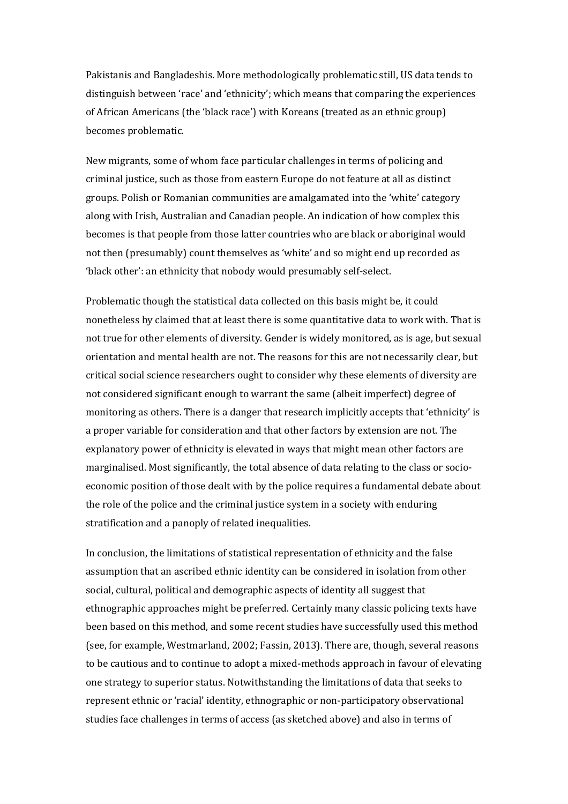Pakistanis and Bangladeshis. More methodologically problematic still, US data tends to distinguish between 'race' and 'ethnicity'; which means that comparing the experiences of African Americans (the 'black race') with Koreans (treated as an ethnic group) becomes problematic.

New migrants, some of whom face particular challenges in terms of policing and criminal justice, such as those from eastern Europe do not feature at all as distinct groups. Polish or Romanian communities are amalgamated into the 'white' category along with Irish, Australian and Canadian people. An indication of how complex this becomes is that people from those latter countries who are black or aboriginal would not then (presumably) count themselves as 'white' and so might end up recorded as 'black other': an ethnicity that nobody would presumably self-select.

Problematic though the statistical data collected on this basis might be, it could nonetheless by claimed that at least there is some quantitative data to work with. That is not true for other elements of diversity. Gender is widely monitored, as is age, but sexual orientation and mental health are not. The reasons for this are not necessarily clear, but critical social science researchers ought to consider why these elements of diversity are not considered significant enough to warrant the same (albeit imperfect) degree of monitoring as others. There is a danger that research implicitly accepts that 'ethnicity' is a proper variable for consideration and that other factors by extension are not. The explanatory power of ethnicity is elevated in ways that might mean other factors are marginalised. Most significantly, the total absence of data relating to the class or socioeconomic position of those dealt with by the police requires a fundamental debate about the role of the police and the criminal justice system in a society with enduring stratification and a panoply of related inequalities.

In conclusion, the limitations of statistical representation of ethnicity and the false assumption that an ascribed ethnic identity can be considered in isolation from other social, cultural, political and demographic aspects of identity all suggest that ethnographic approaches might be preferred. Certainly many classic policing texts have been based on this method, and some recent studies have successfully used this method (see, for example, Westmarland, 2002; Fassin, 2013). There are, though, several reasons to be cautious and to continue to adopt a mixed-methods approach in favour of elevating one strategy to superior status. Notwithstanding the limitations of data that seeks to represent ethnic or 'racial' identity, ethnographic or non-participatory observational studies face challenges in terms of access (as sketched above) and also in terms of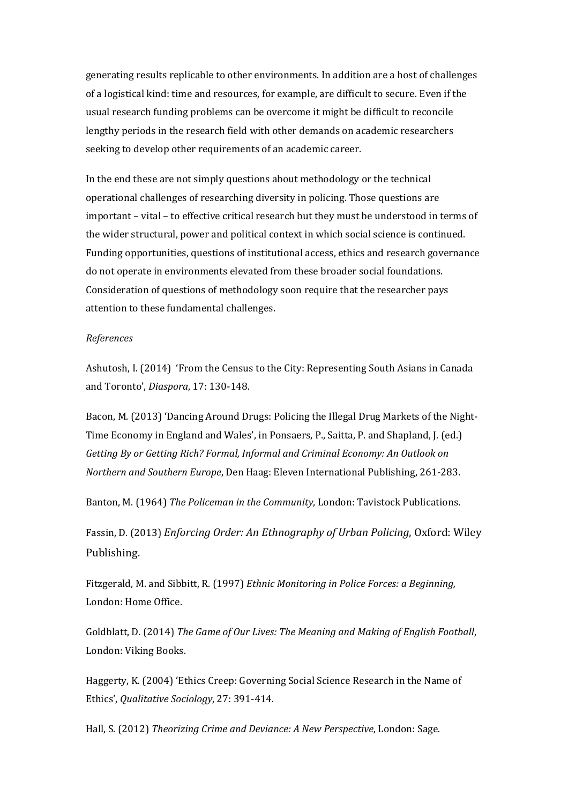generating results replicable to other environments. In addition are a host of challenges of a logistical kind: time and resources, for example, are difficult to secure. Even if the usual research funding problems can be overcome it might be difficult to reconcile lengthy periods in the research field with other demands on academic researchers seeking to develop other requirements of an academic career.

In the end these are not simply questions about methodology or the technical operational challenges of researching diversity in policing. Those questions are important – vital – to effective critical research but they must be understood in terms of the wider structural, power and political context in which social science is continued. Funding opportunities, questions of institutional access, ethics and research governance do not operate in environments elevated from these broader social foundations. Consideration of questions of methodology soon require that the researcher pays attention to these fundamental challenges.

## *References*

Ashutosh, I. (2014) 'From the Census to the City: Representing South Asians in Canada and Torontoǯ, *Diaspora*, 17: 130-148.

Bacon, M. (2013) 'Dancing Around Drugs: Policing the Illegal Drug Markets of the Night-Time Economy in England and Wales', in Ponsaers, P., Saitta, P. and Shapland, J. (ed.) *Getting By or Getting Rich? Formal, Informal and Criminal Economy: An Outlook on Northern and Southern Europe*, Den Haag: Eleven International Publishing, 261-283.

Banton, M. (1964) *The Policeman in the Community*, London: Tavistock Publications.

Fassin, D. (2013) *Enforcing Order: An Ethnography of Urban Policing*, Oxford: Wiley Publishing.

Fitzgerald, M. and Sibbitt, R. (1997) *Ethnic Monitoring in Police Forces: a Beginning,* London: Home Office.

Goldblatt, D. (2014) *The Game of Our Lives: The Meaning and Making of English Football*, London: Viking Books.

Haggerty, K. (2004) 'Ethics Creep: Governing Social Science Research in the Name of Ethicsǯ, *Qualitative Sociology*, 27: 391-414.

Hall, S. (2012) *Theorizing Crime and Deviance: A New Perspective*, London: Sage.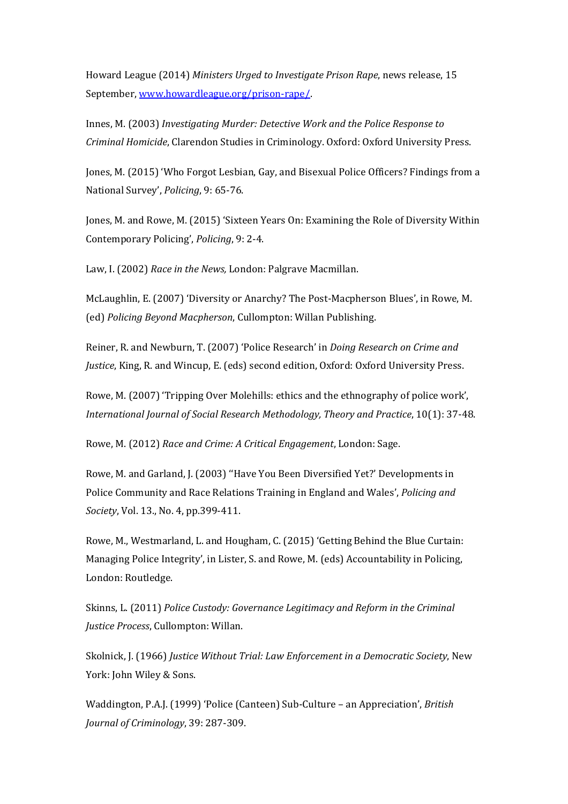Howard League (2014) *Ministers Urged to Investigate Prison Rape*, news release, 15 September, [www.howardleague.org/prison-rape/.](http://www.howardleague.org/prison-rape/)

Innes, M. (2003) *Investigating Murder: Detective Work and the Police Response to Criminal Homicide*, Clarendon Studies in Criminology. Oxford: Oxford University Press.

Jones, M. (2015) 'Who Forgot Lesbian, Gay, and Bisexual Police Officers? Findings from a National Surveyǯ, *Policing*, 9: 65-76.

Jones, M. and Rowe, M. (2015) 'Sixteen Years On: Examining the Role of Diversity Within Contemporary Policing', *Policing*, 9: 2-4.

Law, I. (2002) *[Race in the News,](http://www.palgraveconnect.com/pc/doifinder/10.1057/9780230509993)* London: Palgrave Macmillan.

McLaughlin, E. (2007) 'Diversity or Anarchy? The Post-Macpherson Blues', in Rowe, M. (ed) *Policing Beyond Macpherson*, Cullompton: Willan Publishing.

Reiner, R. and Newburn, T. (2007) 'Police Research' in *Doing Research on Crime and Justice*, King, R. and Wincup, E. (eds) second edition, Oxford: Oxford University Press.

Rowe, M. (2007) 'Tripping Over Molehills: ethics and the ethnography of police work', *International Journal of Social Research Methodology, Theory and Practice*, 10(1): 37-48.

Rowe, M. (2012) *Race and Crime: A Critical Engagement*, London: Sage.

Rowe, M. and Garland, J. (2003) "Have You Been Diversified Yet?' Developments in Police Community and Race Relations Training in England and Wales', *Policing and Society*, Vol. 13., No. 4, pp.399-411.

Rowe, M., Westmarland, L. and Hougham, C. (2015) 'Getting Behind the Blue Curtain: Managing Police Integrity', in Lister, S. and Rowe, M. (eds) Accountability in Policing, London: Routledge.

Skinns, L. (2011) *Police Custody: Governance Legitimacy and Reform in the Criminal Justice Process*, Cullompton: Willan.

Skolnick, J. (1966) *Justice Without Trial: Law Enforcement in a Democratic Society*, New York: John Wiley & Sons.

Waddington, P.A.J. (1999) 'Police (Canteen) Sub-Culture – an Appreciation', *British Journal of Criminology*, 39: 287-309.